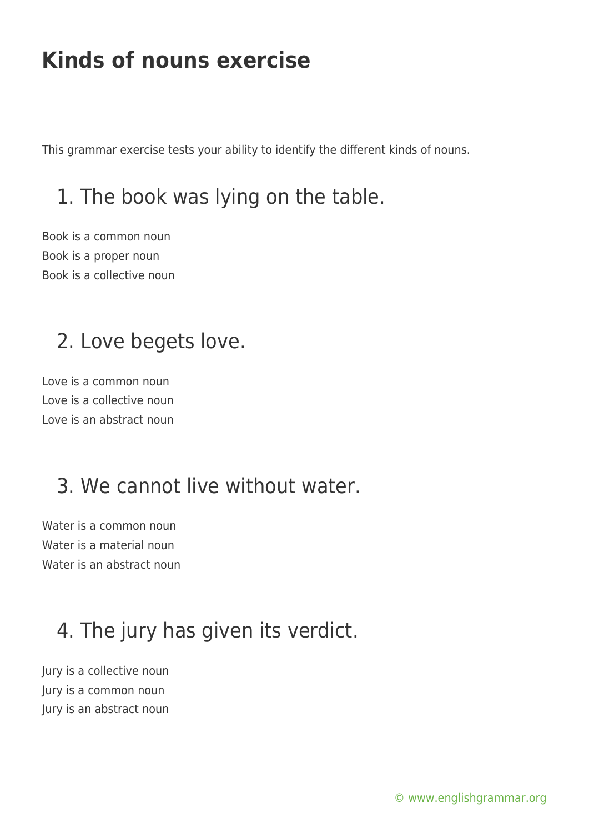This grammar exercise tests your ability to identify the different kinds of nouns.

## 1. The book was lying on the table.

Book is a common noun Book is a proper noun Book is a collective noun

## 2. Love begets love.

Love is a common noun Love is a collective noun Love is an abstract noun

## 3. We cannot live without water.

Water is a common noun Water is a material noun Water is an abstract noun

# 4. The jury has given its verdict.

Jury is a collective noun Jury is a common noun Jury is an abstract noun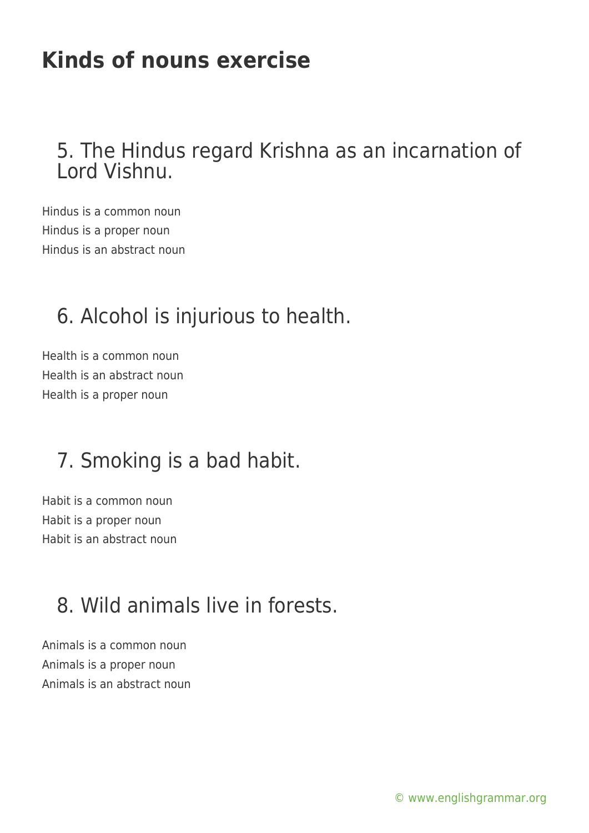#### 5. The Hindus regard Krishna as an incarnation of Lord Vishnu.

Hindus is a common noun Hindus is a proper noun Hindus is an abstract noun

#### 6. Alcohol is injurious to health.

Health is a common noun Health is an abstract noun Health is a proper noun

#### 7. Smoking is a bad habit.

Habit is a common noun Habit is a proper noun Habit is an abstract noun

## 8. Wild animals live in forests.

Animals is a common noun Animals is a proper noun Animals is an abstract noun

[© www.englishgrammar.org](https://www.englishgrammar.org/)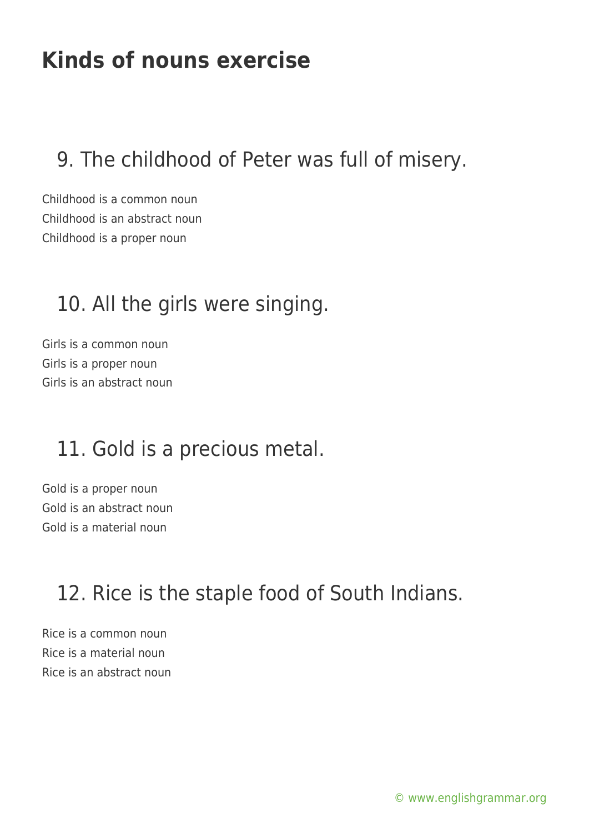## 9. The childhood of Peter was full of misery.

Childhood is a common noun Childhood is an abstract noun Childhood is a proper noun

#### 10. All the girls were singing.

Girls is a common noun Girls is a proper noun Girls is an abstract noun

## 11. Gold is a precious metal.

Gold is a proper noun Gold is an abstract noun Gold is a material noun

## 12. Rice is the staple food of South Indians.

Rice is a common noun Rice is a material noun Rice is an abstract noun

[© www.englishgrammar.org](https://www.englishgrammar.org/)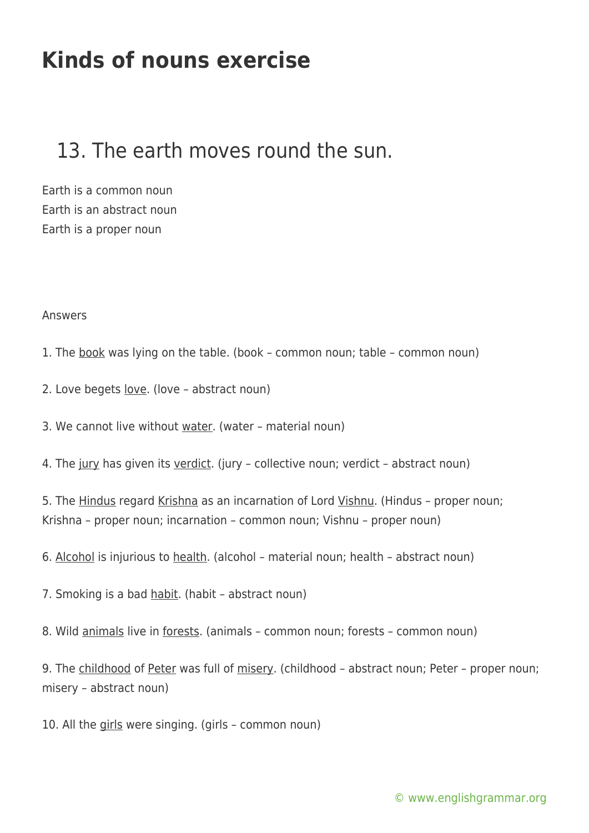#### 13. The earth moves round the sun.

Earth is a common noun Earth is an abstract noun Earth is a proper noun

#### Answers

1. The book was lying on the table. (book – common noun; table – common noun)

2. Love begets <u>love</u>. (love - abstract noun)

3. We cannot live without water. (water – material noun)

4. The jury has given its verdict. (jury - collective noun; verdict - abstract noun)

5. The Hindus regard Krishna as an incarnation of Lord Vishnu. (Hindus - proper noun; Krishna – proper noun; incarnation – common noun; Vishnu – proper noun)

6. Alcohol is injurious to health. (alcohol – material noun; health – abstract noun)

7. Smoking is a bad habit. (habit – abstract noun)

8. Wild animals live in forests. (animals – common noun; forests – common noun)

9. The childhood of Peter was full of misery. (childhood - abstract noun; Peter - proper noun; misery – abstract noun)

10. All the girls were singing. (girls – common noun)